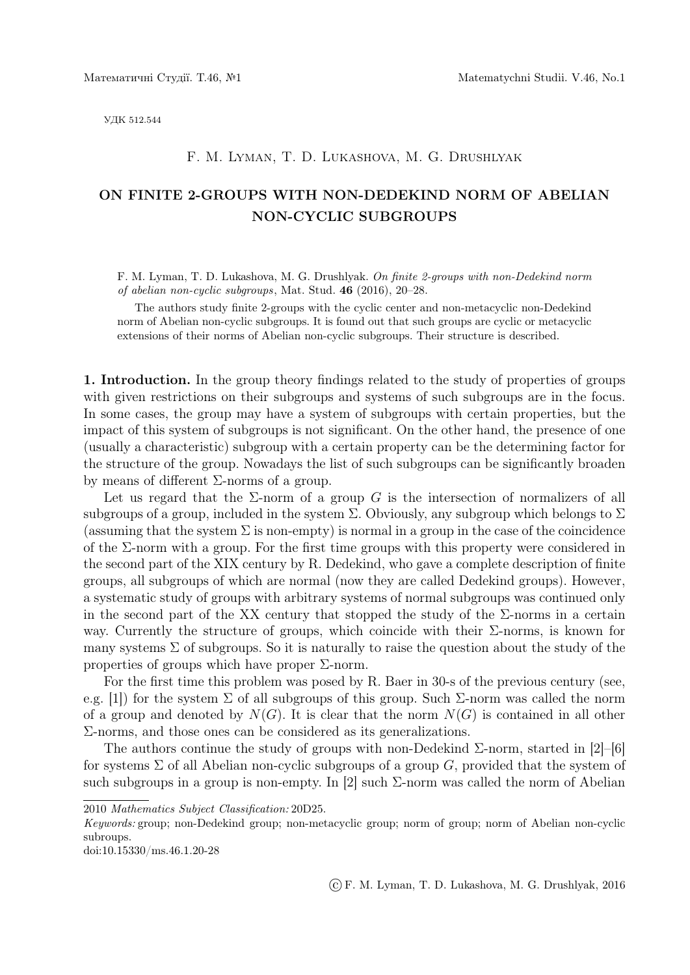УДК 512.544

## F. M. Lyman, T. D. Lukashova, M. G. Drushlyak

# ON FINITE 2-GROUPS WITH NON-DEDEKIND NORM OF ABELIAN NON-CYCLIC SUBGROUPS

F. M. Lyman, T. D. Lukashova, M. G. Drushlyak. *On finite 2-groups with non-Dedekind norm of abelian non-cyclic subgroups*, Mat. Stud. 46 (2016), 20–28.

The authors study finite 2-groups with the cyclic center and non-metacyclic non-Dedekind norm of Abelian non-cyclic subgroups. It is found out that such groups are cyclic or metacyclic extensions of their norms of Abelian non-cyclic subgroups. Their structure is described.

1. Introduction. In the group theory findings related to the study of properties of groups with given restrictions on their subgroups and systems of such subgroups are in the focus. In some cases, the group may have a system of subgroups with certain properties, but the impact of this system of subgroups is not significant. On the other hand, the presence of one (usually a characteristic) subgroup with a certain property can be the determining factor for the structure of the group. Nowadays the list of such subgroups can be significantly broaden by means of different Σ-norms of a group.

Let us regard that the  $\Sigma$ -norm of a group *G* is the intersection of normalizers of all subgroups of a group, included in the system  $\Sigma$ . Obviously, any subgroup which belongs to  $\Sigma$ (assuming that the system  $\Sigma$  is non-empty) is normal in a group in the case of the coincidence of the  $\Sigma$ -norm with a group. For the first time groups with this property were considered in the second part of the XIX century by R. Dedekind, who gave a complete description of finite groups, all subgroups of which are normal (now they are called Dedekind groups). However, a systematic study of groups with arbitrary systems of normal subgroups was continued only in the second part of the XX century that stopped the study of the  $\Sigma$ -norms in a certain way. Currently the structure of groups, which coincide with their  $\Sigma$ -norms, is known for many systems  $\Sigma$  of subgroups. So it is naturally to raise the question about the study of the properties of groups which have proper  $\Sigma$ -norm.

For the first time this problem was posed by R. Baer in 30-s of the previous century (see, e.g. [1]) for the system  $\Sigma$  of all subgroups of this group. Such  $\Sigma$ -norm was called the norm of a group and denoted by  $N(G)$ . It is clear that the norm  $N(G)$  is contained in all other Σ-norms, and those ones can be considered as its generalizations.

The authors continue the study of groups with non-Dedekind  $\Sigma$ -norm, started in [2]–[6] for systems  $\Sigma$  of all Abelian non-cyclic subgroups of a group *G*, provided that the system of such subgroups in a group is non-empty. In [2] such  $\Sigma$ -norm was called the norm of Abelian

2010 *Mathematics Subject Classification:* 20D25.

*Keywords:* group; non-Dedekind group; non-metacyclic group; norm of group; norm of Abelian non-cyclic subroups.

doi:10.15330/ms.46.1.20-28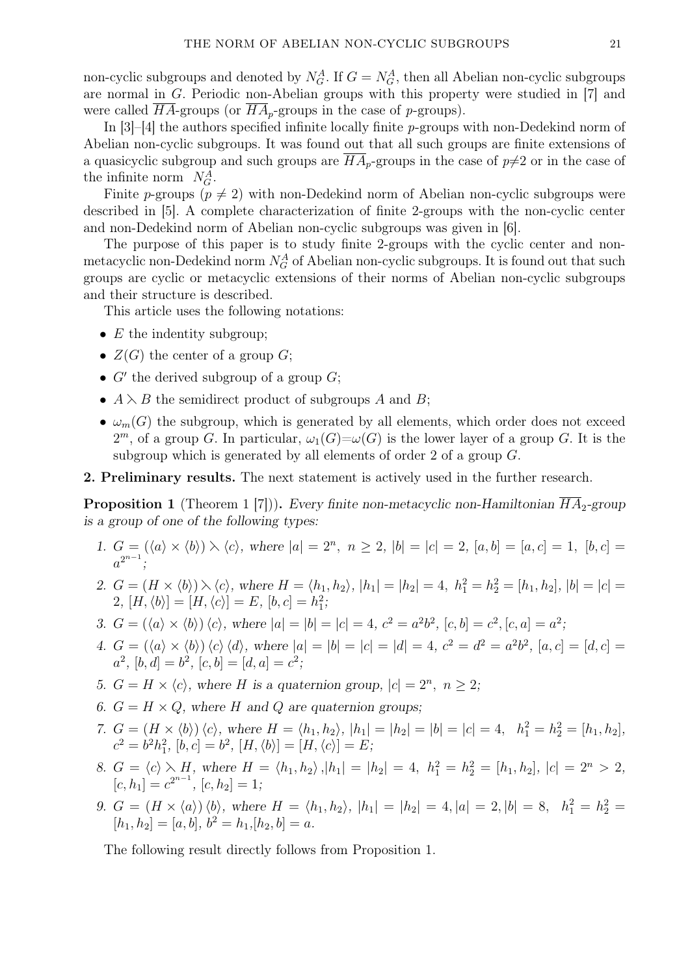non-cyclic subgroups and denoted by  $N_G^A$ . If  $G = N_G^A$ , then all Abelian non-cyclic subgroups are normal in *G*. Periodic non-Abelian groups with this property were studied in [7] and were called  $\overline{HA}$ -groups (or  $\overline{HA}$ <sub>*p*</sub>-groups in the case of *p*-groups).

In [3]–[4] the authors specified infinite locally finite *p*-groups with non-Dedekind norm of Abelian non-cyclic subgroups. It was found out that all such groups are finite extensions of a quasicyclic subgroup and such groups are  $\overline{HA}_p$ -groups in the case of  $p\neq 2$  or in the case of the infinite norm  $N_G^A$ .

Finite *p*-groups ( $p \neq 2$ ) with non-Dedekind norm of Abelian non-cyclic subgroups were described in [5]. A complete characterization of finite 2-groups with the non-cyclic center and non-Dedekind norm of Abelian non-cyclic subgroups was given in [6].

The purpose of this paper is to study finite 2-groups with the cyclic center and nonmetacyclic non-Dedekind norm  $N_G^A$  of Abelian non-cyclic subgroups. It is found out that such groups are cyclic or metacyclic extensions of their norms of Abelian non-cyclic subgroups and their structure is described.

This article uses the following notations:

- *E* the indentity subgroup;
- $Z(G)$  the center of a group  $G$ ;
- *• G′* the derived subgroup of a group *G*;
- $A \lambda B$  the semidirect product of subgroups *A* and *B*;
- $\omega_m(G)$  the subgroup, which is generated by all elements, which order does not exceed  $2<sup>m</sup>$ , of a group *G*. In particular,  $\omega_1(G)=\omega(G)$  is the lower layer of a group *G*. It is the subgroup which is generated by all elements of order 2 of a group *G*.

#### 2. Preliminary results. The next statement is actively used in the further research.

**Proposition 1** (Theorem 1 [7])). *Every finite non-metacyclic non-Hamiltonian*  $\overline{HA}_2$ -group *is a group of one of the following types:*

- 1.  $G = (\langle a \rangle \times \langle b \rangle) \setminus \langle c \rangle$ , where  $|a| = 2^n$ ,  $n \ge 2$ ,  $|b| = |c| = 2$ ,  $[a, b] = [a, c] = 1$ ,  $[b, c] =$  $a^{2^{n-1}};$
- 2.  $G = (H \times \langle b \rangle) \setminus \langle c \rangle$ , where  $H = \langle h_1, h_2 \rangle$ ,  $|h_1| = |h_2| = 4$ ,  $h_1^2 = h_2^2 = [h_1, h_2]$ ,  $|b| = |c| =$ 2,  $[H, \langle b \rangle] = [H, \langle c \rangle] = E$ ,  $[b, c] = h_1^2$ ;
- 3.  $G = (\langle a \rangle \times \langle b \rangle) \langle c \rangle$ , where  $|a| = |b| = |c| = 4$ ,  $c^2 = a^2b^2$ ,  $[c, b] = c^2$ ,  $[c, a] = a^2$ ;
- 4.  $G = (\langle a \rangle \times \langle b \rangle) \langle c \rangle \langle d \rangle$ , where  $|a| = |b| = |c| = |d| = 4$ ,  $c^2 = d^2 = a^2b^2$ ,  $[a, c] = [d, c] =$  $a^2$ ,  $[b, d] = b^2$ ,  $[c, b] = [d, a] = c^2$ ;
- *5.*  $G = H \times \langle c \rangle$ , where *H* is a quaternion group,  $|c| = 2^n$ ,  $n \geq 2$ ;
- *6.*  $G = H \times Q$ , where *H* and *Q* are quaternion groups;
- 7.  $G = (H \times \langle b \rangle) \langle c \rangle$ , where  $H = \langle h_1, h_2 \rangle$ ,  $|h_1| = |h_2| = |b| = |c| = 4$ ,  $h_1^2 = h_2^2 = [h_1, h_2]$ ,  $c^2 = b^2h_1^2$ ,  $[b, c] = b^2$ ,  $[H, \langle b \rangle] = [H, \langle c \rangle] = E$ ;
- 8.  $G = \langle c \rangle \setminus H$ , where  $H = \langle h_1, h_2 \rangle$ ,  $|h_1| = |h_2| = 4$ ,  $h_1^2 = h_2^2 = [h_1, h_2]$ ,  $|c| = 2^n > 2$ ,  $[c, h_1] = c^{2^{n-1}}, [c, h_2] = 1;$
- 9.  $G = (H \times \langle a \rangle) \langle b \rangle$ , where  $H = \langle h_1, h_2 \rangle$ ,  $|h_1| = |h_2| = 4$ ,  $|a| = 2$ ,  $|b| = 8$ ,  $h_1^2 = h_2^2 =$  $[h_1, h_2] = [a, b], b^2 = h_1, [h_2, b] = a.$

The following result directly follows from Proposition 1.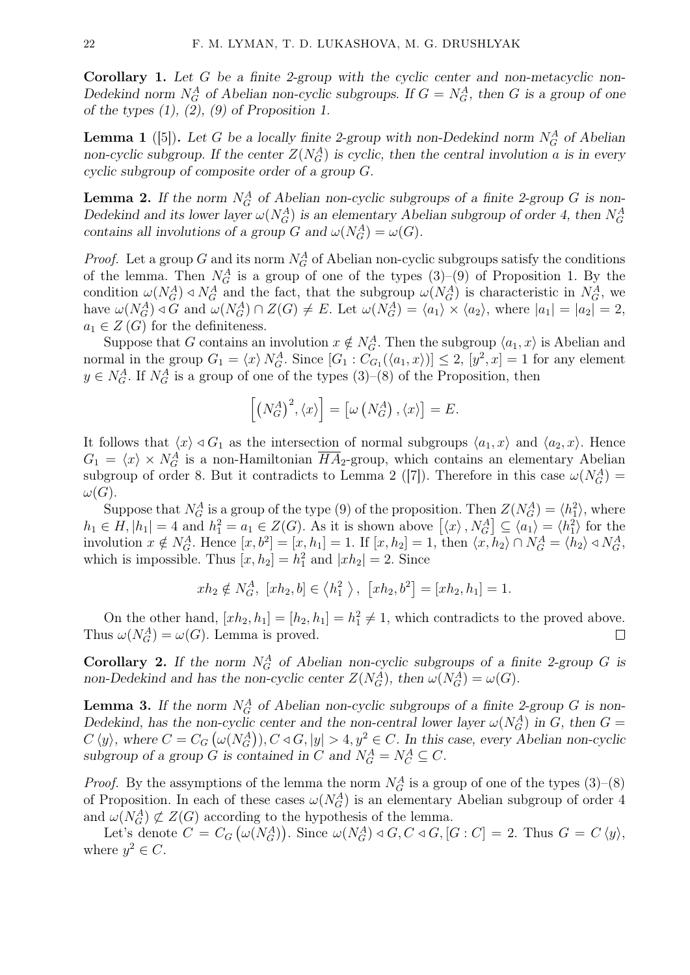Corollary 1. *Let G be a finite 2-group with the cyclic center and non-metacyclic non-Dedekind norm*  $N_G^A$  *of Abelian non-cyclic subgroups. If*  $G = N_G^A$ *, then G is a group of one of the types (1), (2), (9) of Proposition 1.*

**Lemma 1** ([5]). Let *G* be a locally finite 2-group with non-Dedekind norm  $N_G^A$  of Abelian *non-cyclic subgroup. If the center*  $Z(N_G^A)$  *is cyclic, then the central involution a is in every cyclic subgroup of composite order of a group G.*

**Lemma 2.** If the norm  $N_G^A$  of Abelian non-cyclic subgroups of a finite 2-group  $G$  is non-*Dedekind and its lower layer*  $\omega(N_G^A)$  *is an elementary Abelian subgroup of order 4, then*  $N_G^A$ *contains all involutions of a group G* and  $\omega(N_G^A) = \omega(G)$ *.* 

*Proof.* Let a group *G* and its norm  $N_G^A$  of Abelian non-cyclic subgroups satisfy the conditions of the lemma. Then  $N_G^A$  is a group of one of the types  $(3)-(9)$  of Proposition 1. By the condition  $\omega(N_G^A) \triangleleft N_G^A$  and the fact, that the subgroup  $\omega(N_G^A)$  is characteristic in  $N_G^A$ , we have  $\omega(N_G^A) \triangleleft G$  and  $\omega(N_G^A) \cap Z(G) \neq E$ . Let  $\omega(N_G^A) = \langle a_1 \rangle \times \langle a_2 \rangle$ , where  $|a_1| = |a_2| = 2$ ,  $a_1 \in Z(G)$  for the definiteness.

 $\leq Z(G)$  for the definiteness.<br>Suppose that *G* contains an involution  $x \notin N_G^A$ . Then the subgroup  $\langle a_1, x \rangle$  is Abelian and normal in the group  $G_1 = \langle x \rangle N_G^A$ . Since  $[G_1 : C_{G_1}(\langle a_1, x \rangle)] \leq 2$ ,  $[y^2, x] = 1$  for any element  $y \in N_G^A$ . If  $N_G^A$  is a group of one of the types  $(3)$ – $(8)$  of the Proposition, then

$$
\left[ \left( N_G^A \right)^2, \langle x \rangle \right] = \left[ \omega \left( N_G^A \right), \langle x \rangle \right] = E.
$$

It follows that  $\langle x \rangle \triangleleft G_1$  as the intersection of normal subgroups  $\langle a_1, x \rangle$  and  $\langle a_2, x \rangle$ . Hence  $G_1 = \langle x \rangle \times N_G^{\hat{A}}$  is a non-Hamiltonian  $\overline{HA}_2$ -group, which contains an elementary Abelian subgroup of order 8. But it contradicts to Lemma 2 ([7]). Therefore in this case  $\omega(N_G^A)$  =  $\omega(G)$ .  $G_1 = \langle x \rangle \times N_G^{\overrightarrow{A}}$  is a non-Hamiltonian  $\overline{HA}_2$ -group, which contains an elementary Abelian subgroup of order 8. But it contradicts to Lemma 2 ([7]). Therefore in this case  $\omega(N_G^A) = \omega(G)$ .<br>Suppose that  $N_G^A$  is a g

Suppose that  $N_G^A$  is a group of the type (9) of the proposition. Then  $Z(N_G^A) = \langle h_1^2 \rangle$ , where involution  $x \notin N_G^A$ . Hence  $[x, b^2] = [x, h_1] = 1$ . If  $[x, h_2] = 1$ , then  $\langle x, h_2 \rangle \cap N_G^A = \langle h_2 \rangle \triangleleft N_G^A$ , which is impossible. Thus  $[x, h_2] = h_1^2$  and  $|xh_2| = 2$ . Since  $\sigma(y)$  or the prop

$$
xh_2 \notin N_G^A, [xh_2, b] \in \langle h_1^2 \rangle, [xh_2, b^2] = [xh_2, h_1] = 1.
$$

On the other hand,  $[xh_2, h_1] = [h_2, h_1] = h_1^2 \neq 1$ , which contradicts to the proved above. Thus  $\omega(N_G^A) = \omega(G)$ . Lemma is proved.  $\Box$ 

**Corollary 2.** If the norm  $N_G^A$  of Abelian non-cyclic subgroups of a finite 2-group *G* is *non-Dedekind and has the non-cyclic center*  $Z(N_G^A)$ , then  $\omega(N_G^A) = \omega(G)$ .

**Lemma 3.** If the norm  $N_G^A$  of Abelian non-cyclic subgroups of a finite 2-group  $G$  is non-*Dedekind, has the non-cyclic center and the non-central lower layer*  $\omega(N_G^A)$  *in G, then*  $G =$  $C \langle y \rangle$ , where  $C = C_G (\omega(N_G^A)), C \triangleleft G, |y| > 4, y^2 \in C$ . In this case, every Abelian non-cyclic subgroup of a group  $\tilde{G}$  is contained in  $C$  and  $N_G^A = N_C^A \subseteq C$ .

*Proof.* By the assymptions of the lemma the norm  $N_G^A$  is a group of one of the types (3)–(8) of Proposition. In each of these cases  $\omega(N_G^A)$  is an elementary Abelian subgroup of order 4 and  $\omega(N_G^A) \not\subset Z(G)$  according to the hypothesis of the lemma.

Let's denote  $C = C_G(\omega(N_G^A))$ . Since  $\omega(N_G^A) \triangleleft G, C \triangleleft G, [G:C] = 2$ . Thus  $G = C \langle y \rangle$ , where  $y^2 \in C$ .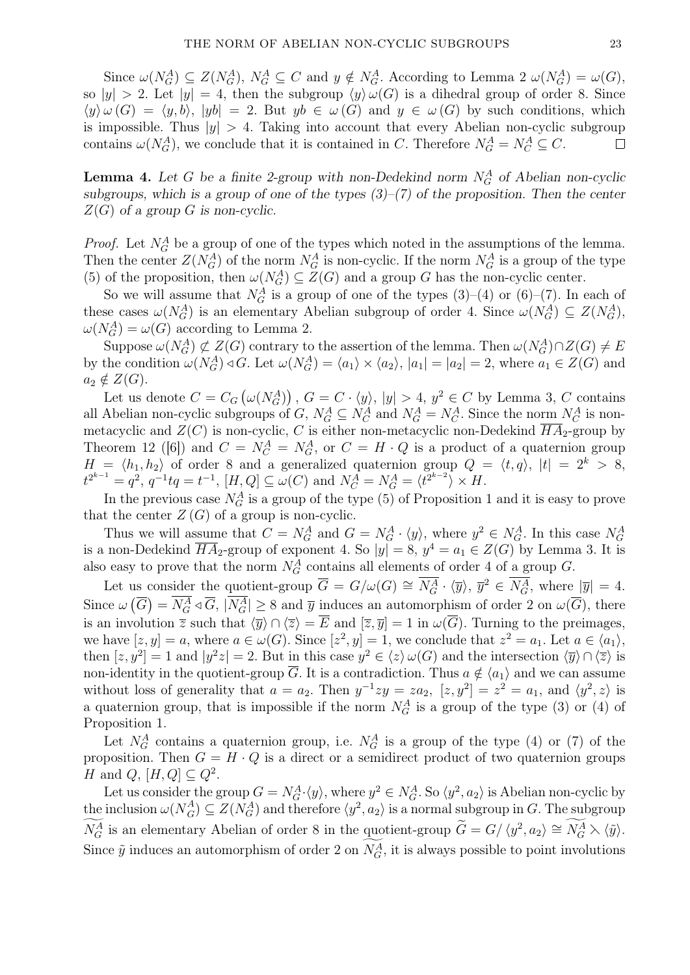Since  $\omega(N_G^A) \subseteq Z(N_G^A)$ ,  $N_G^A \subseteq C$  and  $y \notin N_G^A$ . According to Lemma 2  $\omega(N_G^A) = \omega(G)$ , so  $|y| > 2$ . Let  $|y| = 4$ , then the subgroup  $\langle y \rangle \omega(G)$  is a dihedral group of order 8. Since  $\langle y \rangle \omega(G) = \langle y, b \rangle$ ,  $|yb| = 2$ . But  $yb \in \omega(G)$  and  $y \in \omega(G)$  by such conditions, which is impossible. Thus  $|y| > 4$ . Taking into account that every Abelian non-cyclic subgroup contains  $\omega(N_G^A)$ , we conclude that it is contained in *C*. Therefore  $N_G^A = N_C^A \subseteq C$ .  $\Box$ 

**Lemma 4.** Let *G* be a finite 2-group with non-Dedekind norm  $N_G^A$  of Abelian non-cyclic *subgroups, which is a group of one of the types (3)–(7) of the proposition. Then the center Z*(*G*) *of a group G is non-cyclic.*

*Proof.* Let  $N_G^A$  be a group of one of the types which noted in the assumptions of the lemma. Then the center  $Z(N_G^A)$  of the norm  $N_G^A$  is non-cyclic. If the norm  $N_G^A$  is a group of the type (5) of the proposition, then  $\omega(N_G^A) \subseteq Z(G)$  and a group *G* has the non-cyclic center.

So we will assume that  $N_G^A$  is a group of one of the types  $(3)-(4)$  or  $(6)-(7)$ . In each of these cases  $\omega(N_G^A)$  is an elementary Abelian subgroup of order 4. Since  $\omega(N_G^A) \subseteq Z(N_G^A)$ ,  $\omega(N_G^A) = \omega(G)$  according to Lemma 2.

 $\text{Suppose } \omega(N_G^A) \not\subset Z(G) \text{ contrary to the assertion of the lemma. Then } \omega(N_G^A) \cap Z(G) \neq E$ by the condition  $\omega(N_G^A) \triangleleft G$ . Let  $\omega(N_G^A) = \langle a_1 \rangle \times \langle a_2 \rangle$ ,  $|a_1| = |a_2| = 2$ , where  $a_1 \in Z(G)$  and  $a_2 \notin Z(G)$ .

Let us denote  $C = C_G(\omega(N_G^A))$ ,  $G = C \cdot \langle y \rangle$ ,  $|y| > 4$ ,  $y^2 \in C$  by Lemma 3, C contains all Abelian non-cyclic subgroups of *G*,  $N_G^A \subseteq N_C^A$  and  $N_G^A = N_C^A$ . Since the norm  $N_C^A$  is nonmetacyclic and  $Z(C)$  is non-cyclic, C is either non-metacyclic non-Dedekind  $\overline{HA}_2$ -group by Theorem 12 ([6]) and  $C = N_C^A = N_G^A$ , or  $C = H \cdot Q$  is a product of a quaternion group *H* =  $\langle h_1, h_2 \rangle$  of order 8 and a generalized quaternion group  $Q = \langle t, q \rangle$ ,  $|t| = 2^k > 8$ ,  $t^{2^{k-1}} = q^2$ ,  $q^{-1}tq = t^{-1}$ ,  $[H, Q] \subseteq \omega(C)$  and  $N_C^A = N_G^A = \langle t^{2^{k-2}} \rangle \times H$ .

In the previous case  $N_G^A$  is a group of the type (5) of Proposition 1 and it is easy to prove that the center  $Z(G)$  of a group is non-cyclic.

Thus we will assume that  $C = N_G^A$  and  $G = N_G^A \cdot \langle y \rangle$ , where  $y^2 \in N_G^A$ . In this case  $N_G^A$ is a non-Dedekind  $\overline{HA}_2$ -group of exponent 4. So  $|y|=8$ ,  $y^4=a_1 \in Z(G)$  by Lemma 3. It is also easy to prove that the norm  $N_G^A$  contains all elements of order 4 of a group  $G$ .

Let us consider the quotient-group  $\overline{G} = G/\omega(G) \cong \overline{N_G^A} \cdot \langle \overline{y} \rangle$ ,  $\overline{y}^2 \in \overline{N_G^A}$ , where  $|\overline{y}| = 4$ . Since  $\omega(\overline{G}) = N_G^A \triangleleft \overline{G}$ ,  $|N_G^A| \ge 8$  and  $\overline{y}$  induces an automorphism of order 2 on  $\omega(\overline{G})$ , there is an involution  $\overline{z}$  such that  $\langle \overline{y} \rangle \cap \langle \overline{z} \rangle = \overline{E}$  and  $[\overline{z}, \overline{y}] = 1$  in  $\omega(\overline{G})$ . Turning to the preimages, we have  $[z, y] = a$ , where  $a \in \omega(G)$ . Since  $[z^2, y] = 1$ , we conclude that  $z^2 = a_1$ . Let  $a \in \langle a_1 \rangle$ , then  $[z, y^2] = 1$  and  $|y^2z| = 2$ . But in this case  $y^2 \in \langle z \rangle \omega(G)$  and the intersection  $\langle \overline{y} \rangle \cap \langle \overline{z} \rangle$  is non-identity in the quotient-group  $\overline{G}$ . It is a contradiction. Thus  $a \notin \langle a_1 \rangle$  and we can assume without loss of generality that  $a = a_2$ . Then  $y^{-1}zy = za_2$ ,  $[z, y^2] = z^2 = a_1$ , and  $\langle y^2, z \rangle$  is a quaternion group, that is impossible if the norm  $N_G^A$  is a group of the type (3) or (4) of Proposition 1.

Let  $N_G^A$  contains a quaternion group, i.e.  $N_G^A$  is a group of the type (4) or (7) of the proposition. Then  $G = H \cdot Q$  is a direct or a semidirect product of two quaternion groups *H* and *Q*,  $[H, Q] \subseteq Q^2$ .

Let us consider the group  $G = N_G^A \cdot \langle y \rangle$ , where  $y^2 \in N_G^A$ . So  $\langle y^2, a_2 \rangle$  is Abelian non-cyclic by the inclusion  $\omega(N_A^A)$  $G(G) \subseteq Z(N_G^A)$  and therefore  $\langle y^2, a_2 \rangle$  is a normal subgroup in *G*. The subgroup *H* and *Q*,  $[H, Q] \subseteq Q^2$ .<br> *Let* us consider the group  $G = N_G^A \cdot \langle y \rangle$ , where  $y^2 \in N_G^A$ . So  $\langle y^2, a_2 \rangle$  is Abelian non-cy<br>
the inclusion  $\omega(N_G^A) \subseteq Z(N_G^A)$  and therefore  $\langle y^2, a_2 \rangle$  is a normal subgroup in *G*. The s  $\langle a_2 \rangle \cong N_G^A \setminus \langle \tilde{y} \rangle.$ Let us consider the group  $G = N_G^A \cdot \langle y \rangle$ , where  $y^2$ <br>the inclusion  $\omega(N_G^A) \subseteq Z(N_G^A)$  and therefore  $\langle y^2, a_2 \rangle$ <br> $\widetilde{N}_G^A$  is an elementary Abelian of order 8 in the quod<br>Since  $\widetilde{y}$  induces an automorphism of or Since  $\tilde{y}$  induces an automorphism of order 2 on  $N_G^A$ , it is always possible to point involutions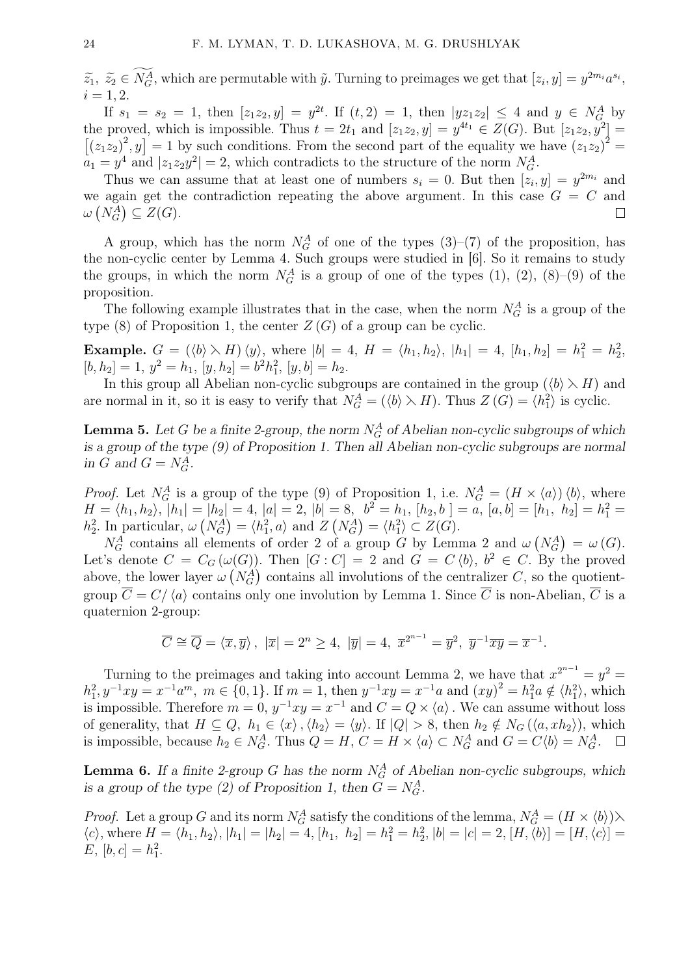24 F. M. LYMAN, T. D. LUKASHOVA, M. G. DRUSHLYAK<br> $\widetilde{z}_1, \ \widetilde{z}_2 \in \widetilde{N_G^A}$ , which are permutable with  $\tilde{y}$ . Turning to preimages we get that  $[z_i, y] = y^{2m_i} a^{s_i}$ ,  $i = 1, 2.$ 

If  $s_1 = s_2 = 1$ , then  $[z_1z_2, y] = y^{2t}$ . If  $(t, 2) = 1$ , then  $|yz_1z_2| \le 4$  and  $y \in N_G^A$  by the proved, which is impossible. Thus  $t = 2t_1$  and  $[z_1z_2, y] = y^{4t_1} \in Z(G)$ . But  $[z_1z_2, y^2] =$  $(z_1 z_2)^2$ ,  $y$  = 1 by such conditions. From the second part of the equality we have  $(z_1 z_2)^2$  =  $\widetilde{N_d}$ <br>wed<br> $,y$ ]  $a_1 = y^4$  and  $|z_1 z_2 y^2| = 2$ , which contradicts to the structure of the norm  $N_G^A$ .

Thus we can assume that at least one of numbers  $s_i = 0$ . But then  $[z_i, y] = y^{2m_i}$  and we again get the contradiction repeating the above argument. In this case  $G = C$  and  $\omega(N_G^A) \subseteq Z(G)$ .  $\Box$ 

A group, which has the norm  $N_G^A$  of one of the types  $(3)-(7)$  of the proposition, has the non-cyclic center by Lemma 4. Such groups were studied in [6]. So it remains to study the groups, in which the norm  $N_G^A$  is a group of one of the types (1), (2), (8)–(9) of the proposition.

The following example illustrates that in the case, when the norm  $N_G^A$  is a group of the type  $(8)$  of Proposition 1, the center  $Z(G)$  of a group can be cyclic.

**Example.**  $G = (\langle b \rangle \setminus H) \langle y \rangle$ , where  $|b| = 4$ ,  $H = \langle h_1, h_2 \rangle$ ,  $|h_1| = 4$ ,  $[h_1, h_2] = h_1^2 = h_2^2$ ,  $[b, h_2] = 1, y^2 = h_1, [y, h_2] = b^2 h_1^2, [y, b] = h_2.$ 

In this group all Abelian non-cyclic subgroups are contained in the group  $(\langle b \rangle \rangle H)$  and are normal in it, so it is easy to verify that  $N_G^A = (\langle b \rangle \times H)$ . Thus  $Z(G) = \langle h_1^2 \rangle$  is cyclic.

**Lemma 5.** Let *G* be a finite 2-group, the norm  $N_G^A$  of Abelian non-cyclic subgroups of which *is a group of the type (9) of Proposition 1. Then all Abelian non-cyclic subgroups are normal in G* and  $G = N_G^A$ .

*Proof.* Let  $N_G^A$  is a group of the type (9) of Proposition 1, i.e.  $N_G^A = (H \times \langle a \rangle) \langle b \rangle$ , where  $H = \langle h_1, h_2 \rangle, \, \, |h_1| = |h_2| = 4, \, |a| = 2, \, |b| = 8, \, b^2 = h_1, \, [h_2, b] = a, \, [a, b] = [h_1, \, h_2] = h_1^2 = h_2^2$ *h*<sub>2</sub><sup>2</sup>. In particular,  $\omega (N_G^A) = \langle h_1^2, a \rangle$  and  $Z (N_G^A) = \langle h_1^2 \rangle \subset Z(G)$ .

*N*<sup>*A*</sup><sub>*G*</sub> contains all elements of order 2 of a group *G* by Lemma 2 and  $\omega(N_G^A) = \omega(G)$ . Let's denote  $C = C_G(\omega(G))$ . Then  $[G: C] = 2$  and  $G = C \langle b \rangle$ ,  $b^2 \in C$ . By the proved above, the lower layer  $\omega (N_G^A)$  contains all involutions of the centralizer *C*, so the quotientgroup  $\overline{C} = C/\langle a \rangle$  contains only one involution by Lemma 1. Since  $\overline{C}$  is non-Abelian,  $\overline{C}$  is a quaternion 2-group:

$$
\overline{C} \cong \overline{Q} = \langle \overline{x}, \overline{y} \rangle, \ |\overline{x}| = 2^n \ge 4, \ |\overline{y}| = 4, \ \overline{x}^{2^{n-1}} = \overline{y}^2, \ \overline{y}^{-1} \overline{x} \overline{y} = \overline{x}^{-1}.
$$

Turning to the preimages and taking into account Lemma 2, we have that  $x^{2^{n-1}} = y^2 = 1$  $h_1^2, y^{-1}xy = x^{-1}a^m$ ,  $m \in \{0, 1\}$ . If  $m = 1$ , then  $y^{-1}xy = x^{-1}a$  and  $(xy)^2 = h_1^2a \notin \langle h_1^2 \rangle$ , which is impossible. Therefore  $m = 0$ ,  $y^{-1}xy = x^{-1}$  and  $C = Q \times \langle a \rangle$ . We can assume without loss of generality, that  $H \subseteq Q$ ,  $h_1 \in \langle x \rangle$ ,  $\langle h_2 \rangle = \langle y \rangle$ . If  $|Q| > 8$ , then  $h_2 \notin N_G(\langle a, xh_2 \rangle)$ , which is impossible, because  $h_2 \in N_G^A$ . Thus  $Q = H$ ,  $C = H \times \langle a \rangle \subset N_G^A$  and  $G = C \langle b \rangle = N_G^A$ .

**Lemma 6.** If a finite 2-group *G* has the norm  $N_G^A$  of Abelian non-cyclic subgroups, which *is a group of the type (2) of Proposition 1, then*  $G = N_G^A$ *.* 

*Proof.* Let a group *G* and its norm  $N_G^A$  satisfy the conditions of the lemma,  $N_G^A = (H \times \langle b \rangle) \times$  $\langle c \rangle$ , where  $H = \langle h_1, h_2 \rangle$ ,  $|h_1| = |h_2| = 4$ ,  $[h_1, h_2] = h_1^2 = h_2^2$ ,  $|b| = |c| = 2$ ,  $[H, \langle b \rangle] = [H, \langle c \rangle] =$  $E, [b, c] = h_1^2.$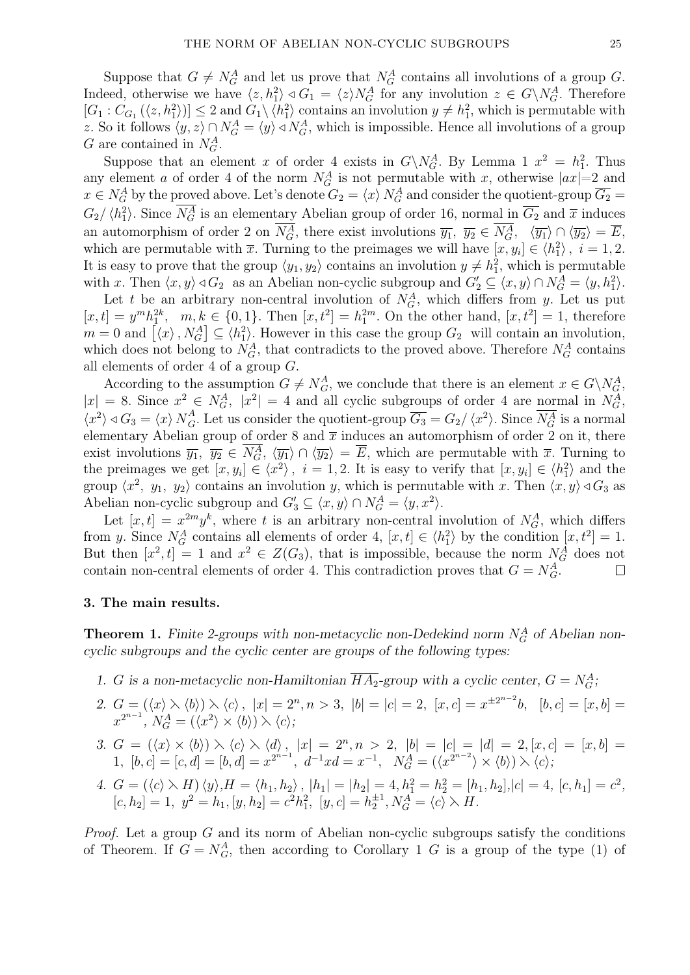Suppose that  $G \neq N_G^A$  and let us prove that  $N_G^A$  contains all involutions of a group *G*. Indeed, otherwise we have  $\langle z, h_1^2 \rangle \triangleleft G_1 = \langle z \rangle N_G^A$  for any involution  $z \in G \backslash N_G^A$ . Therefore  $[G_1: C_{G_1}(\langle z, h_1^2 \rangle)] \leq 2$  and  $G_1 \setminus \langle h_1^2 \rangle$  contains an involution  $y \neq h_1^2$ , which is permutable with *z*. So it follows  $\langle y, z \rangle \cap N_G^A = \langle y \rangle \triangleleft N_G^A$ , which is impossible. Hence all involutions of a group *G* are contained in  $N_G^A$ .

Suppose that an element *x* of order 4 exists in  $G\backslash N_G^A$ . By Lemma 1  $x^2 = h_1^2$ . Thus any element *a* of order 4 of the norm  $N_G^A$  is not permutable with *x*, otherwise  $|ax|=2$  and  $x \in N_G^A$  by the proved above. Let's denote  $G_2 = \langle x \rangle N_G^A$  and consider the quotient-group  $\overline{G_2} =$  $G_2/\langle h_1^2 \rangle$ . Since  $N_G^A$  is an elementary Abelian group of order 16, normal in  $\overline{G_2}$  and  $\overline{x}$  induces an automorphism of order 2 on  $N_G^A$ , there exist involutions  $\overline{y_1}$ ,  $\overline{y_2} \in N_G^A$ ,  $\langle \overline{y_1} \rangle \cap \langle \overline{y_2} \rangle = \overline{E}$ , which are permutable with  $\bar{x}$ . Turning to the preimages we will have  $[x, y_i] \in \langle h_1^2 \rangle$ ,  $i = 1, 2$ . It is easy to prove that the group  $\langle y_1, y_2 \rangle$  contains an involution  $y \neq h_1^2$ , which is permutable with *x*. Then  $\langle x, y \rangle \triangleleft G_2$  as an Abelian non-cyclic subgroup and  $G'_2 \subseteq \langle x, y \rangle \cap N_G^A = \langle y, h_1^2 \rangle$ .

Let *t* be an arbitrary non-central involution of  $N_G^A$ , which differs from *y*. Let us put  $[x, t] = y^m h_1^{2k}, \quad m, k \in \{0, 1\}.$  Then  $[x, t^2] = h_1^{2m}$ . On the other hand,  $[x, t^2] = 1$ , therefore It is easy to<br>with x. Then<br>Let t be<br> $[x,t] = y^m h_1^2$ <br> $m = 0$  and  $\begin{bmatrix} \end{bmatrix}$  $\langle x \rangle$ ,  $N_G^A$   $\subseteq$   $\langle h_1^2 \rangle$ . However in this case the group  $G_2$  will contain an involution, which does not belong to  $N_G^A$ , that contradicts to the proved above. Therefore  $N_G^A$  contains all elements of order 4 of a group *G*.

According to the assumption  $G \neq N_G^A$ , we conclude that there is an element  $x \in G \backslash N_G^A$ ,  $|x| = 8$ . Since  $x^2 \in N_G^A$ ,  $|x^2| = 4$  and all cyclic subgroups of order 4 are normal in  $N_G^A$ ,  $\langle x^2 \rangle \triangleleft G_3 = \langle x \rangle N^A_G$  $G$ . Let us consider the quotient-group  $\overline{G_3} = G_2 / \langle x^2 \rangle$ . Since  $N_G^A$  is a normal elementary Abelian group of order 8 and  $\bar{x}$  induces an automorphism of order 2 on it, there exist involutions  $\overline{y_1}$ ,  $\overline{y_2} \in N_G^A$ ,  $\langle \overline{y_1} \rangle \cap \langle \overline{y_2} \rangle = \overline{E}$ , which are permutable with  $\overline{x}$ . Turning to the preimages we get  $[x, y_i] \in \langle x^2 \rangle$ ,  $i = 1, 2$ . It is easy to verify that  $[x, y_i] \in \langle h_1^2 \rangle$  and the group  $\langle x^2, y_1, y_2 \rangle$  contains an involution *y*, which is permutable with *x*. Then  $\langle x, y \rangle \triangleleft G_3$  as Abelian non-cyclic subgroup and  $G'_3 \subseteq \langle x, y \rangle \cap N_G^A = \langle y, x^2 \rangle$ .

Let  $[x, t] = x^{2m}y^k$ , where *t* is an arbitrary non-central involution of  $N_G^A$ , which differs from *y*. Since  $N_G^A$  contains all elements of order 4,  $[x, t] \in \langle h_1^2 \rangle$  by the condition  $[x, t^2] = 1$ . But then  $[x^2, t] = 1$  and  $x^2 \in Z(G_3)$ , that is impossible, because the norm  $N_G^A$  does not contain non-central elements of order 4. This contradiction proves that  $G = N_G^A$ .  $\Box$ 

#### 3. The main results.

**Theorem 1.** *Finite 2-groups with non-metacyclic non-Dedekind norm*  $N_G^A$  of Abelian non*cyclic subgroups and the cyclic center are groups of the following types:*

- *1. G* is a non-metacyclic non-Hamiltonian  $\overline{HA_2}$ -group with a cyclic center,  $G = N_G^A$ ;
- 2.  $G = (\langle x \rangle \rangle \langle b \rangle) \rangle \langle c \rangle$ ,  $|x| = 2^n, n > 3$ ,  $|b| = |c| = 2$ ,  $[x, c] = x^{\pm 2^{n-2}}b$ ,  $[b, c] = [x, b] =$  $x^{2^{n-1}}$ ,  $N_G^A = (\langle x^2 \rangle \times \langle b \rangle) \times \langle c \rangle$ ;
- 3.  $G = (\langle x \rangle \times \langle b \rangle) \rangle \langle c \rangle \rangle \langle d \rangle$ ,  $|x| = 2^n, n > 2$ ,  $|b| = |c| = |d| = 2$ ,  $[x, c] = [x, b] =$ 1,  $[b, c] = [c, d] = [b, d] = x^{2^{n-1}}, d^{-1}x d = x^{-1}, N_G^A = (\langle x^{2^{n-2}} \rangle \times \langle b \rangle) \times \langle c \rangle$
- 4.  $G = (\langle c \rangle \setminus H) \langle y \rangle, H = \langle h_1, h_2 \rangle, |h_1| = |h_2| = 4, h_1^2 = h_2^2 = [h_1, h_2], |c| = 4, [c, h_1] = c^2,$  $[c, h_2] = 1, y^2 = h_1, [y, h_2] = c^2 h_1^2, [y, c] = h_2^{\pm 1}, N_G^A = \langle c \rangle \setminus H$ .

*Proof.* Let a group *G* and its norm of Abelian non-cyclic subgroups satisfy the conditions of Theorem. If  $G = N_G^A$ , then according to Corollary 1 *G* is a group of the type (1) of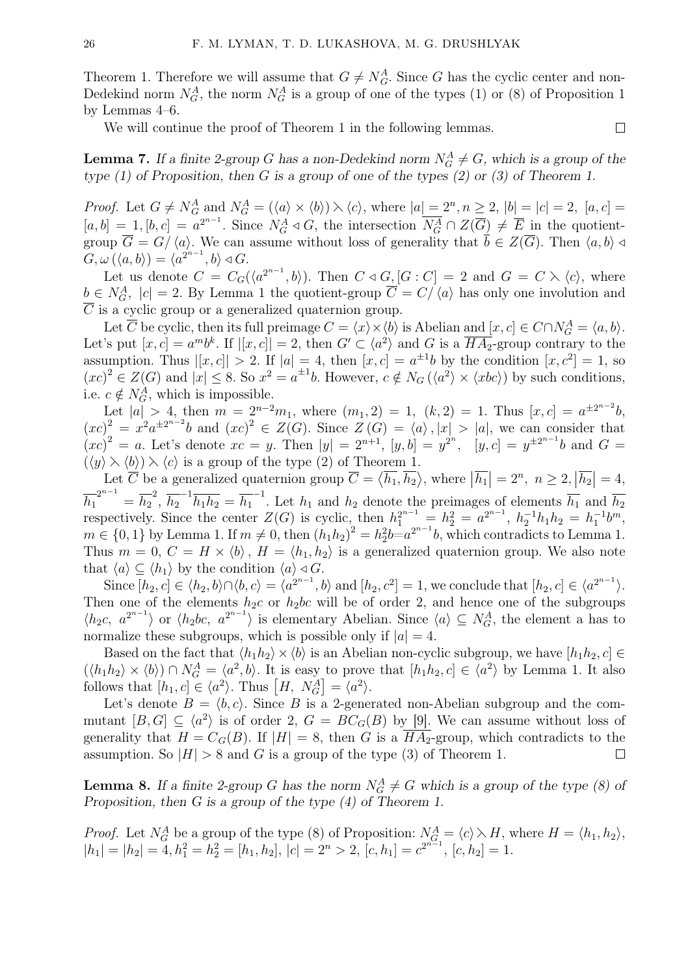Theorem 1. Therefore we will assume that  $G \neq N_G^A$ . Since *G* has the cyclic center and non-Dedekind norm  $N_G^A$ , the norm  $N_G^A$  is a group of one of the types (1) or (8) of Proposition 1 by Lemmas 4–6.

We will continue the proof of Theorem 1 in the following lemmas.

**Lemma 7.** If a finite 2-group *G* has a non-Dedekind norm  $N_G^A \neq G$ , which is a group of the *type (1) of Proposition, then G is a group of one of the types (2) or (3) of Theorem 1.*

*Proof.* Let  $G \neq N_G^A$  and  $N_G^A = (\langle a \rangle \times \langle b \rangle) \wedge \langle c \rangle$ , where  $|a| = 2^n, n \geq 2$ ,  $|b| = |c| = 2$ ,  $[a, c] =$  $[a, b] = 1, [b, c] = a^{2^{n-1}}$ . Since  $N_G^A \triangleleft G$ , the intersection  $\overline{N_G^A} \cap Z(\overline{G}) \neq \overline{E}$  in the quotientgroup  $\overline{G} = G/\langle a \rangle$ . We can assume without loss of generality that  $\overline{b} \in Z(\overline{G})$ . Then  $\langle a, b \rangle \triangleleft$  $G, \omega(\langle a, b \rangle) = \langle a^{2^{n-1}}, b \rangle \triangleleft G.$ 

Let us denote  $C = C_G(\langle a^{2^{n-1}}, b \rangle)$ . Then  $C \triangleleft G$ ,  $[G : C] = 2$  and  $G = C \setminus \langle c \rangle$ , where  $b \in N_G^A$ ,  $|c| = 2$ . By Lemma 1 the quotient-group  $\overline{C} = C/\langle a \rangle$  has only one involution and  $\overline{C}$  is a cyclic group or a generalized quaternion group.

Let  $\overline{C}$  be cyclic, then its full preimage  $C = \langle x \rangle \times \langle b \rangle$  is Abelian and  $[x, c] \in C \cap N_G^A = \langle a, b \rangle$ . Let's put  $[x, c] = a^m b^k$ . If  $|[x, c]| = 2$ , then  $G' \subset \langle a^2 \rangle$  and  $G$  is a  $\overline{HA_2}$ -group contrary to the assumption. Thus  $|[x, c]| > 2$ . If  $|a| = 4$ , then  $[x, c] = a^{\pm 1}b$  by the condition  $[x, c^2] = 1$ , so  $(xc)^2 \in Z(G)$  and  $|x| \leq 8$ . So  $x^2 = a^{\pm 1}b$ . However,  $c \notin N_G(\langle a^2 \rangle \times \langle xbc \rangle)$  by such conditions, i.e.  $c \notin N_G^A$ , which is impossible.

Let  $|a| > 4$ , then  $m = 2^{n-2}m_1$ , where  $(m_1, 2) = 1$ ,  $(k, 2) = 1$ . Thus  $[x, c] = a^{\pm 2^{n-2}}b$ ,  $(xc)^2 = x^2 a^{\pm 2^{n-2}} b$  and  $(xc)^2 \in Z(G)$ . Since  $Z(G) = \langle a \rangle, |x| > |a|$ , we can consider that  $(xc)^2 = a$ . Let's denote  $xc = y$ . Then  $|y| = 2^{n+1}$ ,  $[y, b] = y^{2^n}$ ,  $[y, c] = y^{\pm 2^{n-1}}b$  and  $G =$  $(\langle y \rangle \rangle \langle b \rangle) \rangle \langle c \rangle$  is a group of the type (2) of Theorem 1.

Let  $\overline{C}$  be a generalized quaternion group  $\overline{C} = \langle \overline{h_1}, \overline{h_2} \rangle$ , where  $|\overline{h_1}| = 2^n$ ,  $n \geq 2$ ,  $|\overline{h_2}| = 4$ ,  $\overline{h_1}^{2^{n-1}} = \overline{h_2}^2$ ,  $\overline{h_2}^{-1} \overline{h_1 h_2} = \overline{h_1}^{-1}$ . Let  $h_1$  and  $h_2$  denote the preimages of elements  $\overline{h_1}$  and  $\overline{h_2}$ respectively. Since the center  $Z(G)$  is cyclic, then  $h_1^{2^{n-1}} = h_2^2 = a^{2^{n-1}}$ ,  $h_2^{-1}h_1h_2 = h_1^{-1}b^m$ ,  $m \in \{0, 1\}$  by Lemma 1. If  $m \neq 0$ , then  $(h_1 h_2)^2 = h_2^2 b = a^{2^{n-1}} b$ , which contradicts to Lemma 1. Thus  $m = 0, C = H \times \langle b \rangle, H = \langle h_1, h_2 \rangle$  is a generalized quaternion group. We also note that  $\langle a \rangle \subseteq \langle h_1 \rangle$  by the condition  $\langle a \rangle \triangleleft G$ .

Since  $[h_2, c] \in \langle h_2, b \rangle \cap \langle b, c \rangle = \langle a^{2^{n-1}}, b \rangle$  and  $[h_2, c^2] = 1$ , we conclude that  $[h_2, c] \in \langle a^{2^{n-1}} \rangle$ . Then one of the elements  $h_2c$  or  $h_2bc$  will be of order 2, and hence one of the subgroups normalize these subgroups, which is possible only if  $|a| = 4$ .

 $\langle h_2c, a^{2^{n-1}} \rangle$  or  $\langle h_2bc, a^{2^{n-1}} \rangle$  is elementary Abelian. Since  $\langle a \rangle \subseteq N_G^A$ , the element a has to<br>normalize these subgroups, which is possible only if  $|a| = 4$ .<br>Based on the fact that  $\langle h_1h_2 \rangle \times \langle b \rangle$  is an A Based on the fact that  $\langle h_1 h_2 \rangle \times \langle b \rangle$  is an Abelian non-cyclic subgroup, we have  $[h_1 h_2, c] \in$  $(\langle h_1h_2\rangle \times \langle b\rangle) \cap N_G^A = \langle a^2, b\rangle$ . It is easy to prove that  $[h_1h_2, c] \in \langle a^2\rangle$  by Lemma 1. It also follows that  $[h_1, c] \in \langle a^2 \rangle$ . Thus  $[H, N_G^A] = \langle a^2 \rangle$ .

Let's denote  $B = \langle b, c \rangle$ . Since *B* is a 2-generated non-Abelian subgroup and the commutant  $[B, G] \subseteq \langle a^2 \rangle$  is of order 2,  $G = BC_G(B)$  by [9]. We can assume without loss of generality that  $H = C_G(B)$ . If  $|H| = 8$ , then *G* is a  $\overline{HA_2}$ -group, which contradicts to the assumption. So  $|H| > 8$  and *G* is a group of the type (3) of Theorem 1.  $\Box$ 

**Lemma 8.** If a finite 2-group *G* has the norm  $N_G^A \neq G$  which is a group of the type (8) of *Proposition, then G is a group of the type (4) of Theorem 1.*

*Proof.* Let  $N_G^A$  be a group of the type (8) of Proposition:  $N_{G_1}^A = \langle c \rangle \setminus H$ , where  $H = \langle h_1, h_2 \rangle$ ,  $|h_1| = |h_2| = 4, h_1^2 = h_2^2 = [h_1, h_2], |c| = 2<sup>n</sup> > 2, [c, h_1] = c^{2^{n-1}}, [c, h_2] = 1.$ 

 $\Box$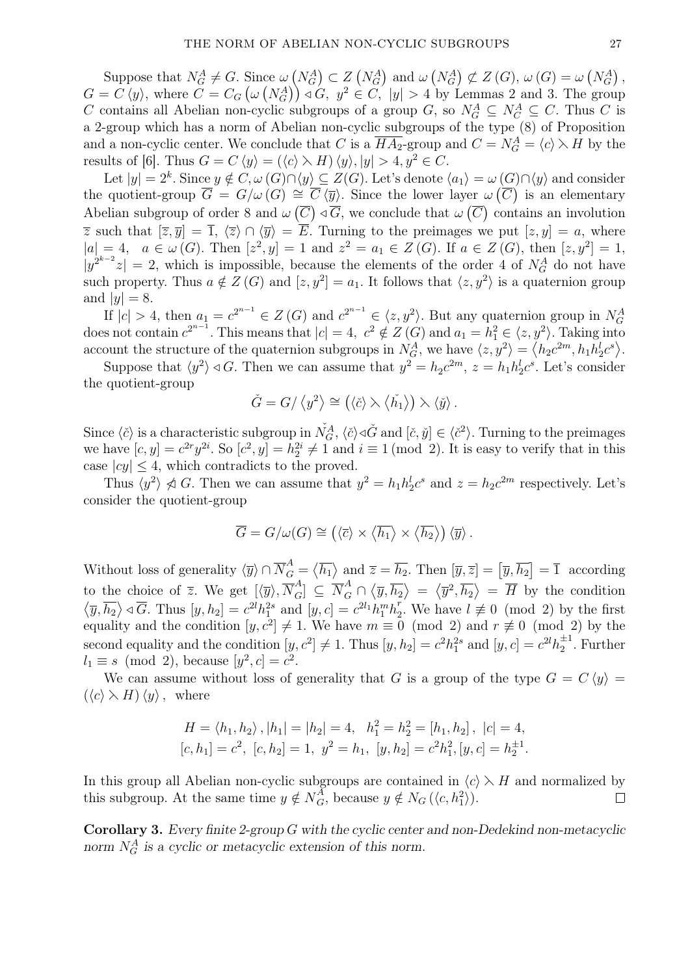Suppose that  $N_G^A \neq G$ . Since  $\omega(N_G^A) \subset Z(N_G^A)$  and  $\omega(N_G^A) \not\subset Z(G)$ ,  $\omega(G) = \omega(N_G^A)$ ,  $G = C \langle y \rangle$ , where  $C = C_G \left( \omega \left( N_G^A \right) \right) \triangleleft G, y^2 \in C, |y| > 4$  by Lemmas 2 and 3. The group *C* contains all Abelian non-cyclic subgroups of a group *G*, so  $N_G^A \subseteq N_C^A \subseteq C$ . Thus *C* is a 2-group which has a norm of Abelian non-cyclic subgroups of the type  $(8)$  of Proposition and a non-cyclic center. We conclude that *C* is a  $\overline{HA_2}$ -group and  $C = N_G^A = \langle c \rangle \rangle H$  by the results of [6]. Thus  $G = C \langle y \rangle = (\langle c \rangle \rangle H) \langle y \rangle, |y| > 4, y^2 \in C$ .

Let  $|y| = 2^k$ . Since  $y \notin C$ ,  $\omega(G) \cap \langle y \rangle \subseteq Z(G)$ . Let's denote  $\langle a_1 \rangle = \omega(G) \cap \langle y \rangle$  and consider the quotient-group  $\overline{G} = G/\omega(G) \cong \overline{C} \langle \overline{y} \rangle$ . Since the lower layer  $\omega(\overline{C})$  is an elementary Abelian subgroup of order 8 and  $\omega(\overline{C}) \triangleleft \overline{G}$ , we conclude that  $\omega(\overline{C})$  contains an involution  $\overline{z}$  such that  $[\overline{z}, \overline{y}] = \overline{1}$ ,  $\langle \overline{z} \rangle \cap \langle \overline{y} \rangle = \overline{E}$ . Turning to the preimages we put  $[z, y] = a$ , where  $|a| = 4$ ,  $a \in \omega(G)$ . Then  $[z^2, y] = 1$  and  $z^2 = a_1 \in Z(G)$ . If  $a \in Z(G)$ , then  $[z, y^2] = 1$ ,  $|y^{2^{k-2}}z| = 2$ , which is impossible, because the elements of the order 4 of *N<sub>G</sub>* do not have such property. Thus  $a \notin Z(G)$  and  $[z, y^2] = a_1$ . It follows that  $\langle z, y^2 \rangle$  is a quaternion group and  $|y| = 8$ .

If  $|c| > 4$ , then  $a_1 = c^{2^{n-1}} \in Z(G)$  and  $c^{2^{n-1}} \in \langle z, y^2 \rangle$ . But any quaternion group in  $N_G^A$ does not contain  $c^{2^{n-1}}$ . This means that  $|c| = 4$ ,  $c^2 \notin Z(G)$  and  $a_1 = h_1^2 \in \langle z, y^2 \rangle$ . Taking into account the structure of the quaternion subgroups in  $N_G^A$ , we have  $\langle z, y^2 \rangle = \langle h_2 c^{2m}, h_1 h_2^l c^s \rangle$ .<br>Suppose t account the structure of the quaternion subgroups in  $N_G^A$ , we have  $\langle z, y^2 \rangle = \langle h_2 c^{2m}, h_1 h_2^l c^s \rangle$ .

Suppose that  $\langle y^2 \rangle \triangleleft G$ . Then we can assume that  $y^2 = h_2 c^{2m}$ ,  $z = h_1 h_2^l c^s$ . Let's consider the quotient-group

$$
\check{G} = G / \left\langle y^2 \right\rangle \cong \left( \left\langle \check{c} \right\rangle \right. \left\langle \left\langle \check{h_1} \right\rangle \right) \right. \left\langle \left\langle \check{y} \right\rangle \right.
$$

Since  $\langle \check{c} \rangle$  is a characteristic subgroup in  $\check{N}_G^A$ ,  $\langle \check{c} \rangle \triangleleft \check{G}$  and  $[\check{c}, \check{y}] \in \langle \check{c}^2 \rangle$ . Turning to the preimages we have  $[c, y] = c^{2r}y^{2i}$ . So  $[c^2, y] = h_2^{2i} \neq 1$  and  $i \equiv 1 \pmod{2}$ . It is easy to verify that in this case  $|cy| \leq 4$ , which contradicts to the proved. ⟩ $\mathcal{L}_{\mathcal{L}}$ 

Thus  $\langle y^2 \rangle \nless G$ . Then we can assume that  $y^2 = h_1 h_2^l c^s$  and  $z = h_2 c^{2m}$  respectively. Let's consider the quotient-group *v*ed.<br> *µ*<sup>2</sup> =<br>  $\langle \overline{c} \rangle \times \langle$ 

$$
\overline{G} = G/\omega(G) \cong (\langle \overline{c} \rangle \times \langle \overline{h_1} \rangle \times \langle \overline{h_2} \rangle) \langle \overline{y} \rangle.
$$

Without loss of generality  $\langle \overline{y} \rangle \cap \overline{N}_G^A = \langle \overline{h_1} \rangle$  $\langle \overline{a} \rangle \times \langle \overline{h_1} \rangle \times \langle \overline{h_2} \rangle) \langle \overline{y} \rangle.$ <br>and  $\overline{z} = \overline{h_2}$ . Then  $[\overline{y}, \overline{z}] = [\overline{y}, \overline{h_2}] = \overline{1}$  according to the choice of  $\overline{z}$ . We get  $[\langle \overline{y} \rangle, \overline{N}_G^A] \subseteq \overline{N}_G^A \cap \langle \overline{y}, \overline{h_2} \rangle = \langle \overline{y}^2, \overline{h_2} \rangle = \overline{H}$  by the condition  $\langle \overline{y}, \overline{h_2} \rangle \triangleleft \overline{G}$ . Thus  $[y, h_2] = c^{2l} h_1^{2s}$  and  $[y, c] = c^{2l_1} h_1^m h_2^m$ <sup>r</sup><sub>2</sub>. We have  $l \not\equiv 0 \pmod{2}$  by the first equality and the condition  $[y, c^2] \neq 1$ . We have  $m \equiv 0 \pmod{2}$  and  $r \not\equiv 0 \pmod{2}$  by the second equality and the condition  $[y, c^2] \neq 1$ . Thus  $[y, h_2] = c^2 h_1^{2s}$  and  $[y, c] = c^{2l} h_2^{\pm 1}$ . Further  $l_1 \equiv s \pmod{2}$ , because  $[y^2, c] = c^2$ .

We can assume without loss of generality that *G* is a group of the type  $G = C \langle y \rangle =$  $(\langle c \rangle \times H) \langle y \rangle$ , where

$$
H = \langle h_1, h_2 \rangle, |h_1| = |h_2| = 4, \quad h_1^2 = h_2^2 = [h_1, h_2], \ |c| = 4,
$$
  

$$
[c, h_1] = c^2, \ [c, h_2] = 1, \ y^2 = h_1, \ [y, h_2] = c^2 h_1^2, [y, c] = h_2^{\pm 1}.
$$

In this group all Abelian non-cyclic subgroups are contained in  $\langle c \rangle \times H$  and normalized by this subgroup. At the same time  $y \notin N_G^A$ , because  $y \notin N_G(\langle c, h_1^2 \rangle)$ .  $\Box$ 

Corollary 3. *Every finite 2-group G with the cyclic center and non-Dedekind non-metacyclic* norm  $N_G^A$  is a cyclic or metacyclic extension of this norm.